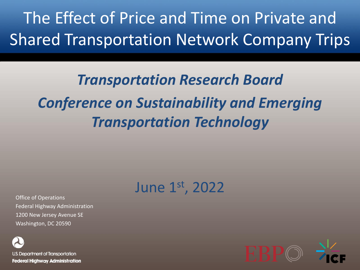The Effect of Price and Time on Private and Shared Transportation Network Company Trips

### *Transportation Research Board Conference on Sustainability and Emerging Transportation Technology*

### June 1st, 2022

Office of Operations Federal Highway Administration 1200 New Jersey Avenue SE Washington, DC 20590

U.S. Department of Transportation **Federal Highway Administration** 

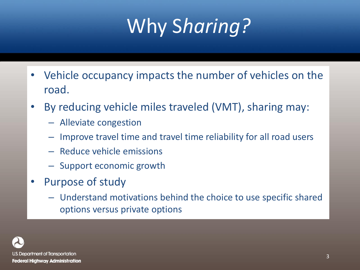# Why S*haring?*

- Vehicle occupancy impacts the number of vehicles on the road.
- By reducing vehicle miles traveled (VMT), sharing may:
	- Alleviate congestion
	- Improve travel time and travel time reliability for all road users
	- Reduce vehicle emissions
	- Support economic growth
- Purpose of study
	- Understand motivations behind the choice to use specific shared options versus private options

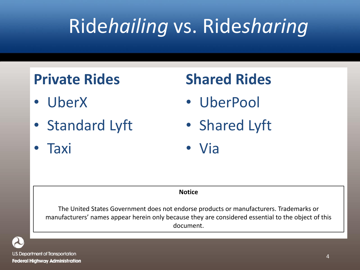# Ride*hailing* vs. Ride*sharing*

### **Private Rides**

- UberX
- Standard Lyft
- Taxi

### **Shared Rides**

- UberPool
- Shared Lyft
- Via

#### **Notice**

The United States Government does not endorse products or manufacturers. Trademarks or manufacturers' names appear herein only because they are considered essential to the object of this document.



U.S. Department of Transportation **Federal Highway Administration**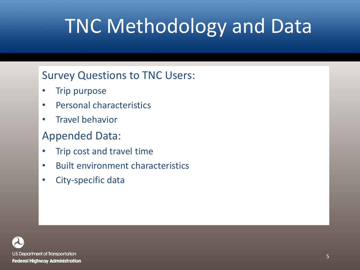# TNC Methodology and Data

#### Survey Questions to TNC Users:

- **Trip purpose**
- Personal characteristics
- Travel behavior

#### Appended Data:

- Trip cost and travel time
- Built environment characteristics
- City-specific data

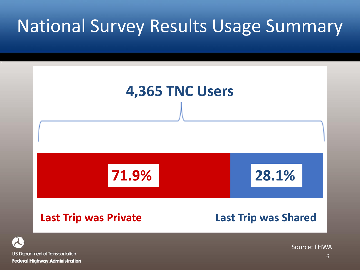### National Survey Results Usage Summary



U.S. Department of Transportation **Federal Highway Administration**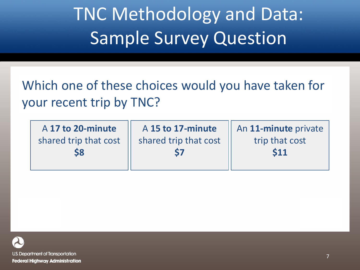### TNC Methodology and Data: Sample Survey Question

Which one of these choices would you have taken for your recent trip by TNC?

| A 17 to 20-minute     |  |  |  |
|-----------------------|--|--|--|
| shared trip that cost |  |  |  |
| <b>\$8</b>            |  |  |  |

A **15 to 17-minute**  shared trip that cost **\$7**

An **11-minute** private trip that cost **\$11**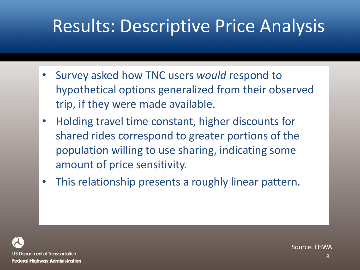### Results: Descriptive Price Analysis

- Survey asked how TNC users *would* respond to hypothetical options generalized from their observed trip, if they were made available.
- Holding travel time constant, higher discounts for shared rides correspond to greater portions of the population willing to use sharing, indicating some amount of price sensitivity.
- This relationship presents a roughly linear pattern.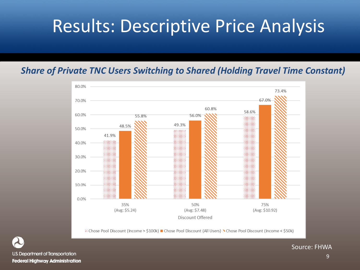### Results: Descriptive Price Analysis

#### *Share of Private TNC Users Switching to Shared (Holding Travel Time Constant)*



∴ Chose Pool Discount (Income > \$100k) ■ Chose Pool Discount (All Users) > Chose Pool Discount (Income < \$50k)

U.S. Department of Transportation **Federal Highway Administration**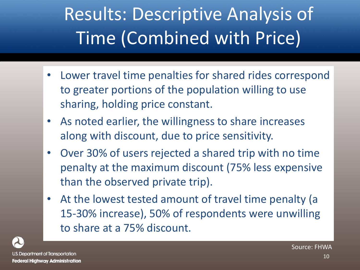## Results: Descriptive Analysis of Time (Combined with Price)

- Lower travel time penalties for shared rides correspond to greater portions of the population willing to use sharing, holding price constant.
- As noted earlier, the willingness to share increases along with discount, due to price sensitivity.
- Over 30% of users rejected a shared trip with no time penalty at the maximum discount (75% less expensive than the observed private trip).
- At the lowest tested amount of travel time penalty (a 15-30% increase), 50% of respondents were unwilling to share at a 75% discount.

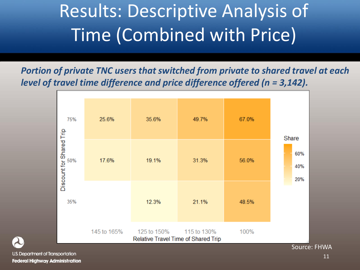### Results: Descriptive Analysis of Time (Combined with Price)

*Portion of private TNC users that switched from private to shared travel at each level of travel time difference and price difference offered (n = 3,142).*

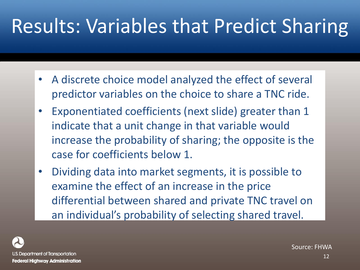## Results: Variables that Predict Sharing

- A discrete choice model analyzed the effect of several predictor variables on the choice to share a TNC ride.
- Exponentiated coefficients (next slide) greater than 1 indicate that a unit change in that variable would increase the probability of sharing; the opposite is the case for coefficients below 1.
- Dividing data into market segments, it is possible to examine the effect of an increase in the price differential between shared and private TNC travel on an individual's probability of selecting shared travel.

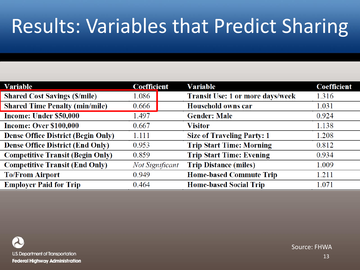# Results: Variables that Predict Sharing

| Variable                                  | <b>Coefficient</b>     | <b>Variable</b>                         | <b>Coefficient</b> |
|-------------------------------------------|------------------------|-----------------------------------------|--------------------|
| <b>Shared Cost Savings (\$/mile)</b>      | 1.086                  | <b>Transit Use: 1 or more days/week</b> | 1.316              |
| <b>Shared Time Penalty (min/mile)</b>     | 0.666                  | Household owns car                      | 1.031              |
| Income: Under \$50,000                    | 1.497                  | <b>Gender: Male</b>                     | 0.924              |
| <b>Income: Over \$100,000</b>             | 0.667                  | <b>Visitor</b>                          | 1.138              |
| <b>Dense Office District (Begin Only)</b> | 1.111                  | <b>Size of Traveling Party: 1</b>       | 1.208              |
| <b>Dense Office District (End Only)</b>   | 0.953                  | <b>Trip Start Time: Morning</b>         | 0.812              |
| <b>Competitive Transit (Begin Only)</b>   | 0.859                  | <b>Trip Start Time: Evening</b>         | 0.934              |
| <b>Competitive Transit (End Only)</b>     | <b>Not Significant</b> | <b>Trip Distance (miles)</b>            | 1.009              |
| <b>To/From Airport</b>                    | 0.949                  | <b>Home-based Commute Trip</b>          | 1.211              |
| <b>Employer Paid for Trip</b>             | 0.464                  | <b>Home-based Social Trip</b>           | 1.071              |

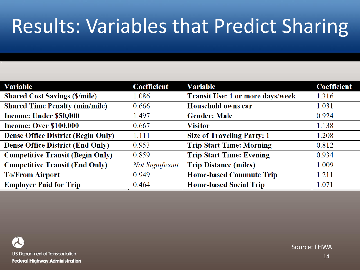# Results: Variables that Predict Sharing

| Variable                                  | <b>Coefficient</b>     | <b>Variable</b>                         | <b>Coefficient</b> |
|-------------------------------------------|------------------------|-----------------------------------------|--------------------|
| <b>Shared Cost Savings (\$/mile)</b>      | 1.086                  | <b>Transit Use: 1 or more days/week</b> | 1.316              |
| <b>Shared Time Penalty (min/mile)</b>     | 0.666                  | Household owns car                      | 1.031              |
| Income: Under \$50,000                    | 1.497                  | <b>Gender: Male</b>                     | 0.924              |
| <b>Income: Over \$100,000</b>             | 0.667                  | <b>Visitor</b>                          | 1.138              |
| <b>Dense Office District (Begin Only)</b> | 1.111                  | <b>Size of Traveling Party: 1</b>       | 1.208              |
| <b>Dense Office District (End Only)</b>   | 0.953                  | <b>Trip Start Time: Morning</b>         | 0.812              |
| <b>Competitive Transit (Begin Only)</b>   | 0.859                  | <b>Trip Start Time: Evening</b>         | 0.934              |
| <b>Competitive Transit (End Only)</b>     | <b>Not Significant</b> | <b>Trip Distance (miles)</b>            | 1.009              |
| <b>To/From Airport</b>                    | 0.949                  | <b>Home-based Commute Trip</b>          | 1.211              |
| <b>Employer Paid for Trip</b>             | 0.464                  | <b>Home-based Social Trip</b>           | 1.071              |

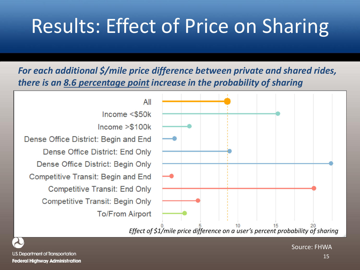## Results: Effect of Price on Sharing

*For each additional \$/mile price difference between private and shared rides, there is an 8.6 percentage point increase in the probability of sharing*

All  $Income < $50k$  $Income > $100k$ Dense Office District: Begin and End Dense Office District: End Only Dense Office District: Begin Only Competitive Transit: Begin and End **Competitive Transit: End Only Competitive Transit: Begin Only To/From Airport** 



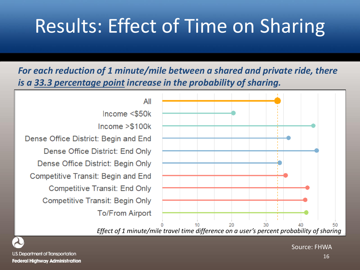### Results: Effect of Time on Sharing

*For each reduction of 1 minute/mile between a shared and private ride, there is a 33.3 percentage point increase in the probability of sharing.* 

All Income  $<$ \$50 $k$  $Income > $100k$ Dense Office District: Begin and End Dense Office District: End Only Dense Office District: Begin Only Competitive Transit: Begin and End **Competitive Transit: End Only Competitive Transit: Begin Only To/From Airport** 







U.S. Department of Transportation **Federal Highway Administration**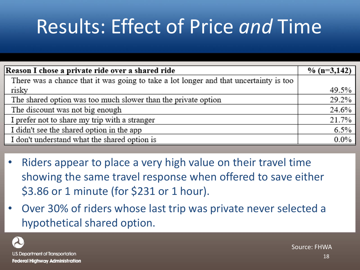## Results: Effect of Price *and* Time

| Reason I chose a private ride over a shared ride                                      | % $(n=3,142)$ |
|---------------------------------------------------------------------------------------|---------------|
| There was a chance that it was going to take a lot longer and that uncertainty is too |               |
| risky                                                                                 | 49.5%         |
| The shared option was too much slower than the private option                         | 29.2%         |
| The discount was not big enough                                                       | 24.6%         |
| I prefer not to share my trip with a stranger                                         | 21.7%         |
| I didn't see the shared option in the app                                             | 6.5%          |
| I don't understand what the shared option is                                          | $0.0\%$       |

- Riders appear to place a very high value on their travel time showing the same travel response when offered to save either \$3.86 or 1 minute (for \$231 or 1 hour).
- Over 30% of riders whose last trip was private never selected a hypothetical shared option.

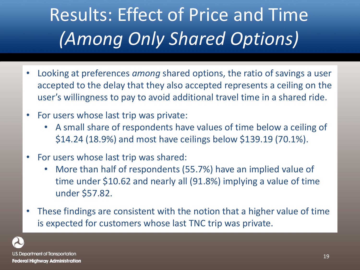# Results: Effect of Price and Time *(Among Only Shared Options)*

- Looking at preferences *among* shared options, the ratio of savings a user accepted to the delay that they also accepted represents a ceiling on the user's willingness to pay to avoid additional travel time in a shared ride.
- For users whose last trip was private:
	- A small share of respondents have values of time below a ceiling of \$14.24 (18.9%) and most have ceilings below \$139.19 (70.1%).
- For users whose last trip was shared:
	- More than half of respondents (55.7%) have an implied value of time under \$10.62 and nearly all (91.8%) implying a value of time under \$57.82.
- These findings are consistent with the notion that a higher value of time is expected for customers whose last TNC trip was private.

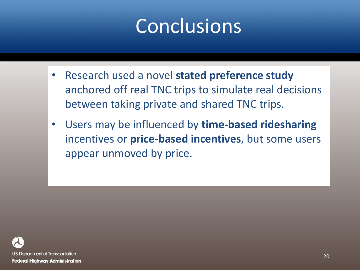### Conclusions

- Research used a novel **stated preference study**  anchored off real TNC trips to simulate real decisions between taking private and shared TNC trips.
- Users may be influenced by **time-based ridesharing**  incentives or **price-based incentives**, but some users appear unmoved by price.

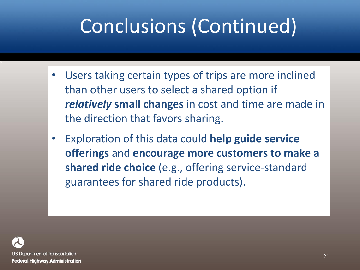## Conclusions (Continued)

- Users taking certain types of trips are more inclined than other users to select a shared option if *relatively* **small changes** in cost and time are made in the direction that favors sharing.
- Exploration of this data could **help guide service offerings** and **encourage more customers to make a shared ride choice** (e.g., offering service-standard guarantees for shared ride products).